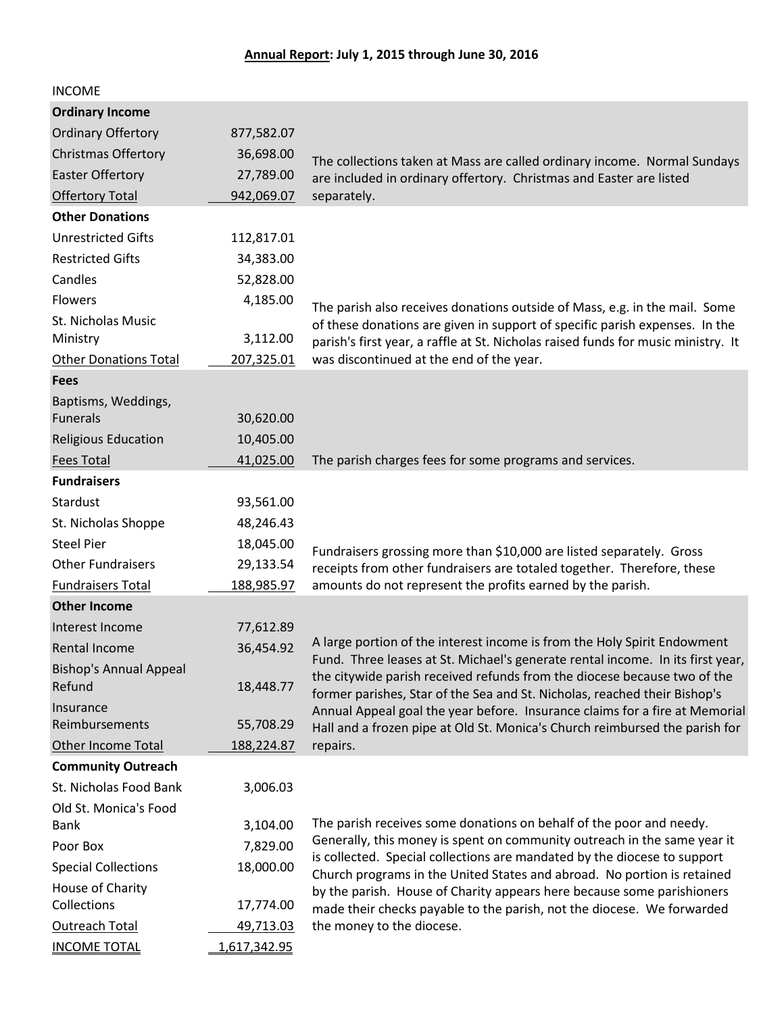| <b>INCOME</b>                                |              |                                                                                                                                                                                                                                         |
|----------------------------------------------|--------------|-----------------------------------------------------------------------------------------------------------------------------------------------------------------------------------------------------------------------------------------|
| <b>Ordinary Income</b>                       |              |                                                                                                                                                                                                                                         |
| <b>Ordinary Offertory</b>                    | 877,582.07   |                                                                                                                                                                                                                                         |
| <b>Christmas Offertory</b>                   | 36,698.00    | The collections taken at Mass are called ordinary income. Normal Sundays                                                                                                                                                                |
| <b>Easter Offertory</b>                      | 27,789.00    | are included in ordinary offertory. Christmas and Easter are listed                                                                                                                                                                     |
| <b>Offertory Total</b>                       | 942,069.07   | separately.                                                                                                                                                                                                                             |
| <b>Other Donations</b>                       |              |                                                                                                                                                                                                                                         |
| <b>Unrestricted Gifts</b>                    | 112,817.01   |                                                                                                                                                                                                                                         |
| <b>Restricted Gifts</b>                      | 34,383.00    |                                                                                                                                                                                                                                         |
| Candles                                      | 52,828.00    |                                                                                                                                                                                                                                         |
| <b>Flowers</b>                               | 4,185.00     | The parish also receives donations outside of Mass, e.g. in the mail. Some                                                                                                                                                              |
| St. Nicholas Music<br>Ministry               | 3,112.00     | of these donations are given in support of specific parish expenses. In the<br>parish's first year, a raffle at St. Nicholas raised funds for music ministry. It                                                                        |
| <b>Other Donations Total</b>                 | 207,325.01   | was discontinued at the end of the year.                                                                                                                                                                                                |
| <b>Fees</b>                                  |              |                                                                                                                                                                                                                                         |
| Baptisms, Weddings,                          |              |                                                                                                                                                                                                                                         |
| <b>Funerals</b>                              | 30,620.00    |                                                                                                                                                                                                                                         |
| <b>Religious Education</b>                   | 10,405.00    |                                                                                                                                                                                                                                         |
| <b>Fees Total</b>                            | 41,025.00    | The parish charges fees for some programs and services.                                                                                                                                                                                 |
| <b>Fundraisers</b>                           |              |                                                                                                                                                                                                                                         |
| Stardust                                     | 93,561.00    |                                                                                                                                                                                                                                         |
| St. Nicholas Shoppe                          | 48,246.43    |                                                                                                                                                                                                                                         |
| <b>Steel Pier</b>                            | 18,045.00    | Fundraisers grossing more than \$10,000 are listed separately. Gross                                                                                                                                                                    |
| <b>Other Fundraisers</b>                     | 29,133.54    | receipts from other fundraisers are totaled together. Therefore, these                                                                                                                                                                  |
| <b>Fundraisers Total</b>                     | 188,985.97   | amounts do not represent the profits earned by the parish.                                                                                                                                                                              |
| <b>Other Income</b>                          |              |                                                                                                                                                                                                                                         |
| Interest Income                              | 77,612.89    |                                                                                                                                                                                                                                         |
| <b>Rental Income</b>                         | 36,454.92    | A large portion of the interest income is from the Holy Spirit Endowment                                                                                                                                                                |
| <b>Bishop's Annual Appeal</b><br>Refund      | 18,448.77    | Fund. Three leases at St. Michael's generate rental income. In its first year,<br>the citywide parish received refunds from the diocese because two of the<br>former parishes, Star of the Sea and St. Nicholas, reached their Bishop's |
| Insurance                                    |              | Annual Appeal goal the year before. Insurance claims for a fire at Memorial                                                                                                                                                             |
| Reimbursements                               | 55,708.29    | Hall and a frozen pipe at Old St. Monica's Church reimbursed the parish for                                                                                                                                                             |
| <b>Other Income Total</b>                    | 188,224.87   | repairs.                                                                                                                                                                                                                                |
| <b>Community Outreach</b>                    |              |                                                                                                                                                                                                                                         |
| St. Nicholas Food Bank                       | 3,006.03     |                                                                                                                                                                                                                                         |
| Old St. Monica's Food                        |              |                                                                                                                                                                                                                                         |
| Bank                                         | 3,104.00     | The parish receives some donations on behalf of the poor and needy.<br>Generally, this money is spent on community outreach in the same year it                                                                                         |
| Poor Box                                     | 7,829.00     | is collected. Special collections are mandated by the diocese to support                                                                                                                                                                |
| <b>Special Collections</b>                   | 18,000.00    | Church programs in the United States and abroad. No portion is retained                                                                                                                                                                 |
| House of Charity<br>Collections              |              | by the parish. House of Charity appears here because some parishioners                                                                                                                                                                  |
|                                              | 17,774.00    | made their checks payable to the parish, not the diocese. We forwarded                                                                                                                                                                  |
| <b>Outreach Total</b><br><b>INCOME TOTAL</b> | 49,713.03    | the money to the diocese.                                                                                                                                                                                                               |
|                                              | 1,617,342.95 |                                                                                                                                                                                                                                         |